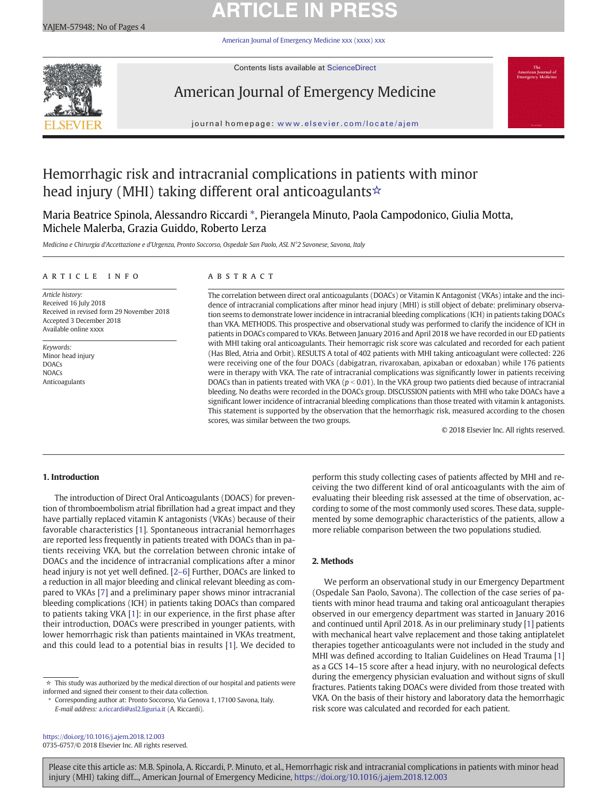# **ARTICLE IN PRESS**

[American Journal of Emergency Medicine xxx \(xxxx\) xxx](https://doi.org/10.1016/j.ajem.2018.12.003)



Contents lists available at ScienceDirect

## American Journal of Emergency Medicine

journal homepage: <www.elsevier.com/locate/ajem>

## Hemorrhagic risk and intracranial complications in patients with minor head injury (MHI) taking different oral anticoagulants☆

Maria Beatrice Spinola, Alessandro Riccardi \*, Pierangela Minuto, Paola Campodonico, Giulia Motta, Michele Malerba, Grazia Guiddo, Roberto Lerza

Medicina e Chirurgia d'Accettazione e d'Urgenza, Pronto Soccorso, Ospedale San Paolo, ASL N°2 Savonese, Savona, Italy

#### article info abstract

Article history: Received 16 July 2018 Received in revised form 29 November 2018 Accepted 3 December 2018 Available online xxxx

Keywords: Minor head injury DOACs NOACs Anticoagulants

The correlation between direct oral anticoagulants (DOACs) or Vitamin K Antagonist (VKAs) intake and the incidence of intracranial complications after minor head injury (MHI) is still object of debate: preliminary observation seems to demonstrate lower incidence in intracranial bleeding complications (ICH) in patients taking DOACs than VKA. METHODS. This prospective and observational study was performed to clarify the incidence of ICH in patients in DOACs compared to VKAs. Between January 2016 and April 2018 we have recorded in our ED patients with MHI taking oral anticoagulants. Their hemorragic risk score was calculated and recorded for each patient (Has Bled, Atria and Orbit). RESULTS A total of 402 patients with MHI taking anticoagulant were collected: 226 were receiving one of the four DOACs (dabigatran, rivaroxaban, apixaban or edoxaban) while 176 patients were in therapy with VKA. The rate of intracranial complications was significantly lower in patients receiving DOACs than in patients treated with VKA ( $p < 0.01$ ). In the VKA group two patients died because of intracranial bleeding. No deaths were recorded in the DOACs group. DISCUSSION patients with MHI who take DOACs have a significant lower incidence of intracranial bleeding complications than those treated with vitamin k antagonists. This statement is supported by the observation that the hemorrhagic risk, measured according to the chosen scores, was similar between the two groups.

© 2018 Elsevier Inc. All rights reserved.

### 1. Introduction

The introduction of Direct Oral Anticoagulants (DOACS) for prevention of thromboembolism atrial fibrillation had a great impact and they have partially replaced vitamin K antagonists (VKAs) because of their favorable characteristics [[1](#page-2-0)]. Spontaneous intracranial hemorrhages are reported less frequently in patients treated with DOACs than in patients receiving VKA, but the correlation between chronic intake of DOACs and the incidence of intracranial complications after a minor head injury is not yet well defined. [2[–](#page-2-0)6] Further, DOACs are linked to a reduction in all major bleeding and clinical relevant bleeding as compared to VKAs [[7\]](#page-2-0) and a preliminary paper shows minor intracranial bleeding complications (ICH) in patients taking DOACs than compared to patients taking VKA [[1](#page-2-0)]: in our experience, in the first phase after their introduction, DOACs were prescribed in younger patients, with lower hemorrhagic risk than patients maintained in VKAs treatment, and this could lead to a potential bias in results [\[1\]](#page-2-0). We decided to

 $\star$  This study was authorized by the medical direction of our hospital and patients were informed and signed their consent to their data collection.

⁎ Corresponding author at: Pronto Soccorso, Via Genova 1, 17100 Savona, Italy. E-mail address: <a.riccardi@asl2.liguria.it> (A. Riccardi).

<https://doi.org/10.1016/j.ajem.2018.12.003> 0735-6757/© 2018 Elsevier Inc. All rights reserved. perform this study collecting cases of patients affected by MHI and receiving the two different kind of oral anticoagulants with the aim of evaluating their bleeding risk assessed at the time of observation, according to some of the most commonly used scores. These data, supplemented by some demographic characteristics of the patients, allow a more reliable comparison between the two populations studied.

### 2. Methods

We perform an observational study in our Emergency Department (Ospedale San Paolo, Savona). The collection of the case series of patients with minor head trauma and taking oral anticoagulant therapies observed in our emergency department was started in January 2016 and continued until April 2018. As in our preliminary study [[1](#page-2-0)] patients with mechanical heart valve replacement and those taking antiplatelet therapies together anticoagulants were not included in the study and MHI was defined according to Italian Guidelines on Head Trauma [\[1\]](#page-2-0) as a GCS 14–15 score after a head injury, with no neurological defects during the emergency physician evaluation and without signs of skull fractures. Patients taking DOACs were divided from those treated with VKA. On the basis of their history and laboratory data the hemorrhagic risk score was calculated and recorded for each patient.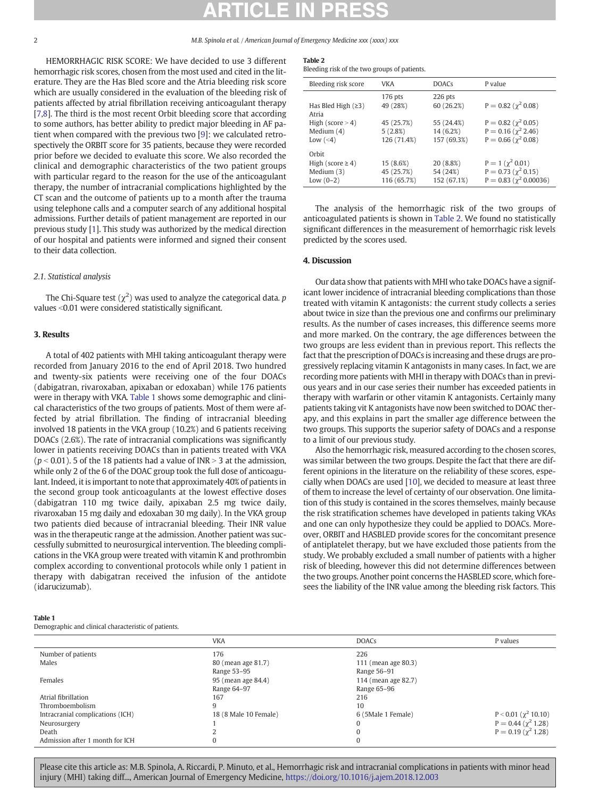2 M.B. Spinola et al. / American Journal of Emergency Medicine xxx (xxxx) xxx

HEMORRHAGIC RISK SCORE: We have decided to use 3 different hemorrhagic risk scores, chosen from the most used and cited in the literature. They are the Has Bled score and the Atria bleeding risk score which are usually considered in the evaluation of the bleeding risk of patients affected by atrial fibrillation receiving anticoagulant therapy [[7](#page-2-0),[8](#page-2-0)]. The third is the most recent Orbit bleeding score that according to some authors, has better ability to predict major bleeding in AF patient when compared with the previous two [[9](#page-2-0)]: we calculated retrospectively the ORBIT score for 35 patients, because they were recorded prior before we decided to evaluate this score. We also recorded the clinical and demographic characteristics of the two patient groups with particular regard to the reason for the use of the anticoagulant therapy, the number of intracranial complications highlighted by the CT scan and the outcome of patients up to a month after the trauma using telephone calls and a computer search of any additional hospital admissions. Further details of patient management are reported in our previous study [\[1\]](#page-2-0). This study was authorized by the medical direction of our hospital and patients were informed and signed their consent to their data collection.

### 2.1. Statistical analysis

The Chi-Square test  $(\chi^2)$  was used to analyze the categorical data.  $p$ values < 0.01 were considered statistically significant.

#### 3. Results

A total of 402 patients with MHI taking anticoagulant therapy were recorded from January 2016 to the end of April 2018. Two hundred and twenty-six patients were receiving one of the four DOACs (dabigatran, rivaroxaban, apixaban or edoxaban) while 176 patients were in therapy with VKA. Table 1 shows some demographic and clinical characteristics of the two groups of patients. Most of them were affected by atrial fibrillation. The finding of intracranial bleeding involved 18 patients in the VKA group (10.2%) and 6 patients receiving DOACs (2.6%). The rate of intracranial complications was significantly lower in patients receiving DOACs than in patients treated with VKA ( $p < 0.01$ ). 5 of the 18 patients had a value of INR  $> 3$  at the admission, while only 2 of the 6 of the DOAC group took the full dose of anticoagulant. Indeed, it is important to note that approximately 40% of patients in the second group took anticoagulants at the lowest effective doses (dabigatran 110 mg twice daily, apixaban 2.5 mg twice daily, rivaroxaban 15 mg daily and edoxaban 30 mg daily). In the VKA group two patients died because of intracranial bleeding. Their INR value was in the therapeutic range at the admission. Another patient was successfully submitted to neurosurgical intervention. The bleeding complications in the VKA group were treated with vitamin K and prothrombin complex according to conventional protocols while only 1 patient in therapy with dabigatran received the infusion of the antidote (idarucizumab).

Demographic and clinical characteristic of patients.

| Table 2                                      |  |
|----------------------------------------------|--|
| Bleeding risk of the two groups of patients. |  |

| Bleeding risk score                                           | VKA                                    | <b>DOACs</b>                           | P value                                                                                     |  |  |
|---------------------------------------------------------------|----------------------------------------|----------------------------------------|---------------------------------------------------------------------------------------------|--|--|
| Has Bled High $(≥3)$<br>Atria                                 | $176$ pts<br>49 (28%)                  | $226$ pts<br>60 (26.2%)                | P = 0.82 ( $\gamma^2$ 0.08)                                                                 |  |  |
| High (score $>4$ )<br>Medium $(4)$<br>Low $(4)$               | 45 (25.7%)<br>5(2.8%)<br>126 (71.4%)   | 55 (24.4%)<br>14 (6.2%)<br>157 (69.3%) | P = 0.82 ( $\gamma^2$ 0.05)<br>P = 0.16 ( $\gamma^2$ 2.46)<br>P = $0.66$ ( $\gamma^2$ 0.08) |  |  |
| Orbit<br>High (score $\geq$ 4)<br>Medium $(3)$<br>Low $(0-2)$ | 15 (8.6%)<br>45 (25.7%)<br>116 (65.7%) | 20 (8.8%)<br>54 (24%)<br>152 (67.1%)   | $P = 1$ ( $\chi^2$ 0.01)<br>$P = 0.73$ ( $\gamma^2$ 0.15)<br>P = 0.83 ( $\chi^2$ 0.00036)   |  |  |

The analysis of the hemorrhagic risk of the two groups of anticoagulated patients is shown in Table 2. We found no statistically significant differences in the measurement of hemorrhagic risk levels predicted by the scores used.

### 4. Discussion

Our data show that patients with MHI who take DOACs have a significant lower incidence of intracranial bleeding complications than those treated with vitamin K antagonists: the current study collects a series about twice in size than the previous one and confirms our preliminary results. As the number of cases increases, this difference seems more and more marked. On the contrary, the age differences between the two groups are less evident than in previous report. This reflects the fact that the prescription of DOACs is increasing and these drugs are progressively replacing vitamin K antagonists in many cases. In fact, we are recording more patients with MHI in therapy with DOACs than in previous years and in our case series their number has exceeded patients in therapy with warfarin or other vitamin K antagonists. Certainly many patients taking vit K antagonists have now been switched to DOAC therapy, and this explains in part the smaller age difference between the two groups. This supports the superior safety of DOACs and a response to a limit of our previous study.

Also the hemorrhagic risk, measured according to the chosen scores, was similar between the two groups. Despite the fact that there are different opinions in the literature on the reliability of these scores, especially when DOACs are used [\[10\]](#page-2-0), we decided to measure at least three of them to increase the level of certainty of our observation. One limitation of this study is contained in the scores themselves, mainly because the risk stratification schemes have developed in patients taking VKAs and one can only hypothesize they could be applied to DOACs. Moreover, ORBIT and HASBLED provide scores for the concomitant presence of antiplatelet therapy, but we have excluded those patients from the study. We probably excluded a small number of patients with a higher risk of bleeding, however this did not determine differences between the two groups. Another point concerns the HASBLED score, which foresees the liability of the INR value among the bleeding risk factors. This

|                                  | <b>VKA</b>            | <b>DOACs</b>        | P values                       |
|----------------------------------|-----------------------|---------------------|--------------------------------|
| Number of patients               | 176                   | 226                 |                                |
| Males                            | 80 (mean age 81.7)    | 111 (mean age 80.3) |                                |
|                                  | Range 53-95           | Range 56-91         |                                |
| Females                          | 95 (mean age 84.4)    | 114 (mean age 82.7) |                                |
|                                  | Range 64-97           | Range 65-96         |                                |
| Atrial fibrillation              | 167                   | 216                 |                                |
| Thromboembolism                  | 9                     | 10                  |                                |
| Intracranial complications (ICH) | 18 (8 Male 10 Female) | 6 (5Male 1 Female)  | $P < 0.01$ ( $\gamma^2$ 10.10) |
| Neurosurgery                     |                       |                     | $P = 0.44$ ( $\gamma^2$ 1.28)  |
| Death                            |                       |                     | $P = 0.19$ ( $\chi^2$ 1.28)    |
| Admission after 1 month for ICH  | $\Omega$              | $\Omega$            |                                |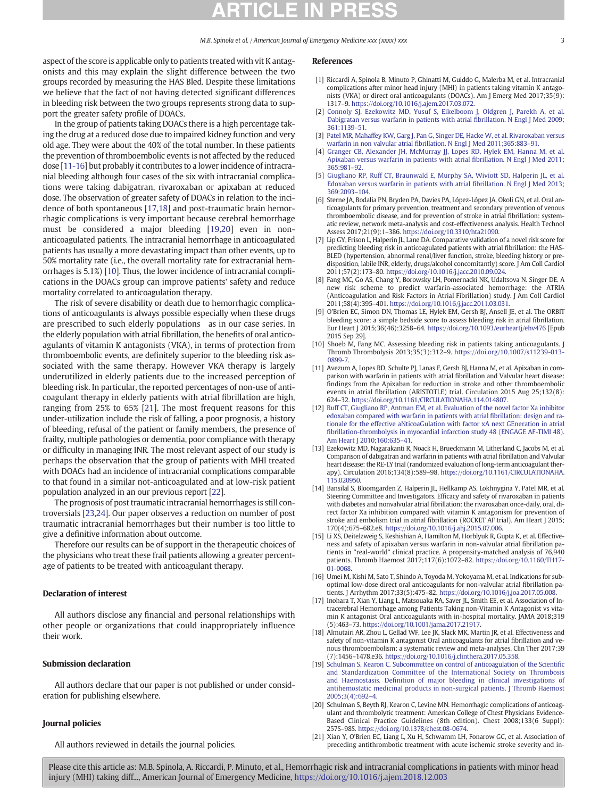M.B. Spinola et al. / American Journal of Emergency Medicine xxx (xxxx) xxx 3

<span id="page-2-0"></span>aspect of the score is applicable only to patients treated with vit K antagonists and this may explain the slight difference between the two groups recorded by measuring the HAS Bled. Despite these limitations we believe that the fact of not having detected significant differences in bleeding risk between the two groups represents strong data to support the greater safety profile of DOACs.

In the group of patients taking DOACs there is a high percentage taking the drug at a reduced dose due to impaired kidney function and very old age. They were about the 40% of the total number. In these patients the prevention of thromboembolic events is not affected by the reduced dose [11-16] but probably it contributes to a lower incidence of intracranial bleeding although four cases of the six with intracranial complications were taking dabigatran, rivaroxaban or apixaban at reduced dose. The observation of greater safety of DOACs in relation to the incidence of both spontaneous [17,18] and post-traumatic brain hemorrhagic complications is very important because cerebral hemorrhage must be considered a major bleeding [19,20] even in nonanticoagulated patients. The intracranial hemorrhage in anticoagulated patients has usually a more devastating impact than other events, up to 50% mortality rate (i.e., the overall mortality rate for extracranial hemorrhages is 5.1%) [10]. Thus, the lower incidence of intracranial complications in the DOACs group can improve patients' safety and reduce mortality correlated to anticoagulation therapy.

The risk of severe disability or death due to hemorrhagic complications of anticoagulants is always possible especially when these drugs are prescribed to such elderly populations as in our case series. In the elderly population with atrial fibrillation, the benefits of oral anticoagulants of vitamin K antagonists (VKA), in terms of protection from thromboembolic events, are definitely superior to the bleeding risk associated with the same therapy. However VKA therapy is largely underutilized in elderly patients due to the increased perception of bleeding risk. In particular, the reported percentages of non-use of anticoagulant therapy in elderly patients with atrial fibrillation are high, ranging from 25% to 65% [21]. The most frequent reasons for this under-utilization include the risk of falling, a poor prognosis, a history of bleeding, refusal of the patient or family members, the presence of frailty, multiple pathologies or dementia, poor compliance with therapy or difficulty in managing INR. The most relevant aspect of our study is perhaps the observation that the group of patients with MHI treated with DOACs had an incidence of intracranial complications comparable to that found in a similar not-anticoagulated and at low-risk patient population analyzed in an our previous report [[22\]](#page-3-0).

The prognosis of post traumatic intracranial hemorrhages is still controversials [\[23,24\]](#page-3-0). Our paper observes a reduction on number of post traumatic intracranial hemorrhages but their number is too little to give a definitive information about outcome.

Therefore our results can be of support in the therapeutic choices of the physicians who treat these frail patients allowing a greater percentage of patients to be treated with anticoagulant therapy.

#### Declaration of interest

All authors disclose any financial and personal relationships with other people or organizations that could inappropriately influence their work.

#### Submission declaration

All authors declare that our paper is not published or under consideration for publishing elsewhere.

#### Journal policies

All authors reviewed in details the journal policies.

#### References

- [1] Riccardi A, Spinola B, Minuto P, Ghinatti M, Guiddo G, Malerba M, et al. Intracranial complications after minor head injury (MHI) in patients taking vitamin K antagonists (VKA) or direct oral anticoagulants (DOACs). Am J Emerg Med 2017;35(9): 1317–9. [https://doi.org/10.1016/j.ajem.2017.03.072.](https://doi.org/10.1016/j.ajem.2017.03.072)
- [2] [Connoly SJ, Ezekowitz MD, Yusuf S, Eikelboom J, Oldgren J, Parekh A, et al.](http://refhub.elsevier.com/S0735-6757(18)30965-3/rf0010) [Dabigratan versus warfarin in patients with atrial](http://refhub.elsevier.com/S0735-6757(18)30965-3/rf0010) fibrillation. N Engl J Med 2009; [361:1139](http://refhub.elsevier.com/S0735-6757(18)30965-3/rf0010)–51.
- [3] [Patel MR, Mahaffey KW, Garg J, Pan G, Singer DE, Hacke W, et al. Rivaroxaban versus](http://refhub.elsevier.com/S0735-6757(18)30965-3/rf0015) warfarin in non valvular atrial fi[brillation. N Engl J Med 2011;365:883](http://refhub.elsevier.com/S0735-6757(18)30965-3/rf0015)–91.
- [4] [Granger CB, Alexander JH, McMurray JJ, Lopes RD, Hylek EM, Hanna M, et al.](http://refhub.elsevier.com/S0735-6757(18)30965-3/rf0020) [Apixaban versus warfarin in patients with atrial](http://refhub.elsevier.com/S0735-6757(18)30965-3/rf0020) fibrillation. N Engl J Med 2011; [365:981](http://refhub.elsevier.com/S0735-6757(18)30965-3/rf0020)–92.
- [5] [Giugliano RP, Ruff CT, Braunwald E, Murphy SA, Wiviott SD, Halperin JL, et al.](http://refhub.elsevier.com/S0735-6757(18)30965-3/rf0025) [Edoxaban versus warfarin in patients with atrial](http://refhub.elsevier.com/S0735-6757(18)30965-3/rf0025) fibrillation. N Engl J Med 2013; [369:2093](http://refhub.elsevier.com/S0735-6757(18)30965-3/rf0025)–104.
- [6] Sterne JA, Bodalia PN, Bryden PA, Davies PA, López-López JA, Okoli GN, et al. Oral anticoagulants for primary prevention, treatment and secondary prevention of venous thromboembolic disease, and for prevention of stroke in atrial fibrillation: systematic review, network meta-analysis and cost-effectiveness analysis. Health Technol Assess 2017;21(9):1–386. <https://doi.org/10.3310/hta21090>.
- [7] Lip GY, Frison L, Halperin JL, Lane DA. Comparative validation of a novel risk score for predicting bleeding risk in anticoagulated patients with atrial fibrillation: the HAS-BLED (hypertension, abnormal renal/liver function, stroke, bleeding history or predisposition, labile INR, elderly, drugs/alcohol concomitantly) score. J Am Coll Cardiol 2011;57(2):173–80. <https://doi.org/10.1016/j.jacc.2010.09.024>.
- [8] Fang MC, Go AS, Chang Y, Borowsky LH, Pomernacki NK, Udaltsova N. Singer DE. A new risk scheme to predict warfarin-associated hemorrhage: the ATRIA (Anticoagulation and Risk Factors in Atrial Fibrillation) study. J Am Coll Cardiol 2011;58(4):395–401. [https://doi.org/10.1016/j.jacc.2011.03.031.](https://doi.org/10.1016/j.jacc.2011.03.031)
- [9] O'Brien EC, Simon DN, Thomas LE, Hylek EM, Gersh BJ, Ansell JE, et al. The ORBIT bleeding score: a simple bedside score to assess bleeding risk in atrial fibrillation. Eur Heart J 2015;36(46):3258–64. <https://doi.org/10.1093/eurheartj/ehv476> [Epub 2015 Sep 29].
- [10] Shoeb M, Fang MC. Assessing bleeding risk in patients taking anticoagulants. J Thromb Thrombolysis 2013;35(3):312–9. [https://doi.org/10.1007/s11239-013-](https://doi.org/10.1007/s11239-013-0899-7) [0899-7](https://doi.org/10.1007/s11239-013-0899-7).
- [11] Avezum A, Lopes RD, Schulte PJ, Lanas F, Gersh BJ, Hanna M, et al. Apixaban in comparison with warfarin in patients with atrial fibrillation and Valvular heart disease: findings from the Apixaban for reduction in stroke and other thromboembolic events in atrial fibrillation (ARISTOTLE) trial. Circulation 2015 Aug 25;132(8): 624–32. [https://doi.org/10.1161/CIRCULATIONAHA.114.014807.](https://doi.org/10.1161/CIRCULATIONAHA.114.014807)
- [12] [Ruff CT, Giugliano RP, Antman EM, et al. Evaluation of the novel factor Xa inhibitor](http://refhub.elsevier.com/S0735-6757(18)30965-3/rf0060) [edoxaban compared with warfarin in patients with atrial](http://refhub.elsevier.com/S0735-6757(18)30965-3/rf0060) fibrillation: design and ra[tionale for the effective aNticoaGulation with factor xA next GEneration in atrial](http://refhub.elsevier.com/S0735-6757(18)30965-3/rf0060) fi[brillation-thrombolysis in myocardial infarction study 48 \(ENGAGE AF-TIMI 48\).](http://refhub.elsevier.com/S0735-6757(18)30965-3/rf0060) [Am Heart J 2010;160:635](http://refhub.elsevier.com/S0735-6757(18)30965-3/rf0060)–41.
- [13] Ezekowitz MD, Nagarakanti R, Noack H, Brueckmann M, Litherland C, Jacobs M, et al. Comparison of dabigatran and warfarin in patients with atrial fibrillation and Valvular heart disease: the RE-LY trial (randomized evaluation of long-term anticoagulant therapy). Circulation 2016;134(8):589–98. [https://doi.org/10.1161/CIRCULATIONAHA.](https://doi.org/10.1161/CIRCULATIONAHA.115.020950) [115.020950](https://doi.org/10.1161/CIRCULATIONAHA.115.020950).
- [14] Bansilal S, Bloomgarden Z, Halperin JL, Hellkamp AS, Lokhnygina Y, Patel MR, et al. Steering Committee and Investigators. Efficacy and safety of rivaroxaban in patients with diabetes and nonvalvular atrial fibrillation: the rivaroxaban once-daily, oral, direct factor Xa inhibition compared with vitamin K antagonism for prevention of stroke and embolism trial in atrial fibrillation (ROCKET AF trial). Am Heart J 2015; 170(4):675–682.e8. <https://doi.org/10.1016/j.ahj.2015.07.006>.
- [15] Li XS, Deitelzweig S, Keshishian A, Hamilton M, Horblyuk R, Gupta K, et al. Effectiveness and safety of apixaban versus warfarin in non-valvular atrial fibrillation patients in "real-world" clinical practice. A propensity-matched analysis of 76,940 patients. Thromb Haemost 2017;117(6):1072–82. [https://doi.org/10.1160/TH17-](https://doi.org/10.1160/TH17-01-0068) [01-0068.](https://doi.org/10.1160/TH17-01-0068)
- [16] Umei M, Kishi M, Sato T, Shindo A, Toyoda M, Yokoyama M, et al. Indications for suboptimal low-dose direct oral anticoagulants for non-valvular atrial fibrillation patients. J Arrhythm 2017;33(5):475–82. [https://doi.org/10.1016/j.joa.2017.05.008.](https://doi.org/10.1016/j.joa.2017.05.008)
- [17] Inohara T, Xian Y, Liang L, Matsouaka RA, Saver JL, Smith EE, et al. Association of Intracerebral Hemorrhage among Patients Taking non-Vitamin K Antagonist vs vitamin K antagonist Oral anticoagulants with in-hospital mortality. JAMA 2018;319 (5):463–73. <https://doi.org/10.1001/jama.2017.21917>.
- [18] Almutairi AR, Zhou L, Gellad WF, Lee JK, Slack MK, Martin JR, et al. Effectiveness and safety of non-vitamin K antagonist Oral anticoagulants for atrial fibrillation and venous thromboembolism: a systematic review and meta-analyses. Clin Ther 2017;39 (7):1456–1478.e36. <https://doi.org/10.1016/j.clinthera.2017.05.358>.
- [19] [Schulman S, Kearon C. Subcommittee on control of anticoagulation of the Scienti](http://refhub.elsevier.com/S0735-6757(18)30965-3/rf0095)fic [and Standardization Committee of the International Society on Thrombosis](http://refhub.elsevier.com/S0735-6757(18)30965-3/rf0095) and Haemostasis. Defi[nition of major bleeding in clinical investigations of](http://refhub.elsevier.com/S0735-6757(18)30965-3/rf0095) [antihemostatic medicinal products in non-surgical patients. J Thromb Haemost](http://refhub.elsevier.com/S0735-6757(18)30965-3/rf0095) [2005;3\(4\):692](http://refhub.elsevier.com/S0735-6757(18)30965-3/rf0095)–4.
- [20] Schulman S, Beyth RJ, Kearon C, Levine MN. Hemorrhagic complications of anticoagulant and thrombolytic treatment: American College of Chest Physicians Evidence-Based Clinical Practice Guidelines (8th edition). Chest 2008;133(6 Suppl): 257S–98S. <https://doi.org/10.1378/chest.08-0674>.
- [21] Xian Y, O'Brien EC, Liang L, Xu H, Schwamm LH, Fonarow GC, et al. Association of preceding antithrombotic treatment with acute ischemic stroke severity and in-